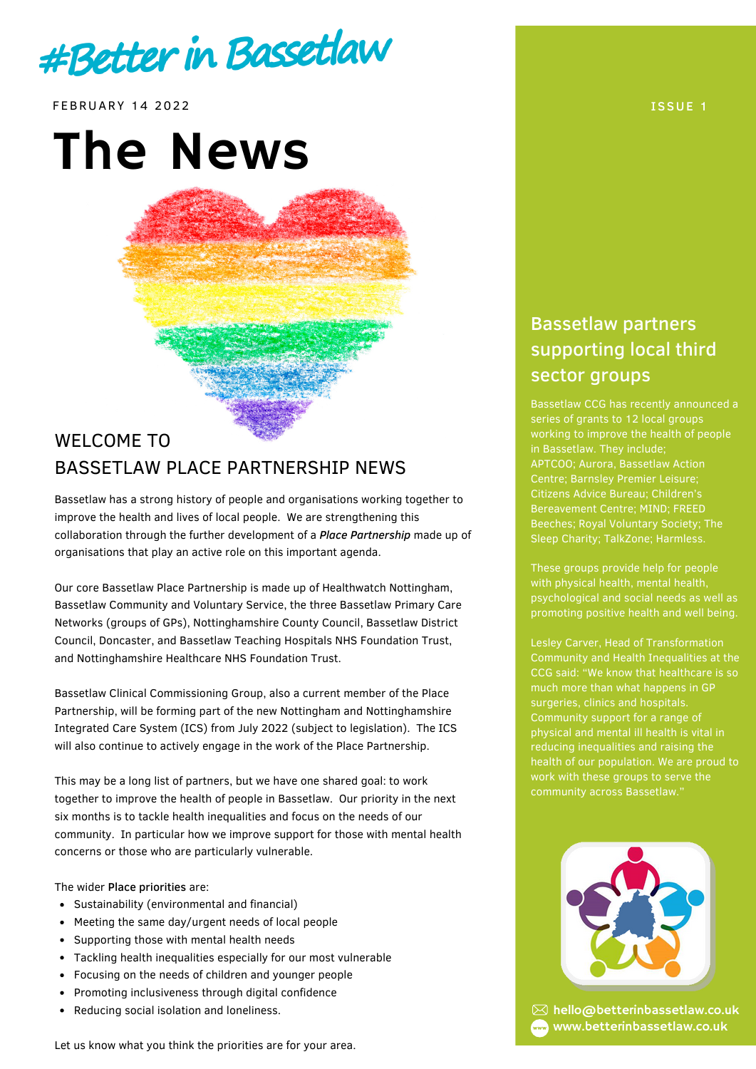

FEBRUARY 14 2022 ISSUE 1

# The News

## WELCOME TO BASSETLAW PLACE PARTNERSHIP NEWS

Bassetlaw has a strong history of people and organisations working together to improve the health and lives of local people. We are strengthening this collaboration through the further development of a *Place Partnership* made up of organisations that play an active role on this important agenda.

Our core Bassetlaw Place Partnership is made up of Healthwatch Nottingham, Bassetlaw Community and Voluntary Service, the three Bassetlaw Primary Care Networks (groups of GPs), Nottinghamshire County Council, Bassetlaw District Council, Doncaster, and Bassetlaw Teaching Hospitals NHS Foundation Trust, and Nottinghamshire Healthcare NHS Foundation Trust.

Bassetlaw Clinical Commissioning Group, also a current member of the Place Partnership, will be forming part of the new Nottingham and Nottinghamshire Integrated Care System (ICS) from July 2022 (subject to legislation). The ICS will also continue to actively engage in the work of the Place Partnership.

This may be a long list of partners, but we have one shared goal: to work together to improve the health of people in Bassetlaw. Our priority in the next six months is to tackle health inequalities and focus on the needs of our community. In particular how we improve support for those with mental health concerns or those who are particularly vulnerable.

#### The wider Place priorities are:

- Sustainability (environmental and financial)
- $\bullet$ Meeting the same day/urgent needs of local people
- Supporting those with mental health needs
- Tackling health inequalities especially for our most vulnerable
- Focusing on the needs of children and younger people
- Promoting inclusiveness through digital confidence  $\bullet$
- Reducing social isolation and loneliness.

### Bassetlaw partners supporting local third sector groups

series of grants to 12 local groups working to improve the health of people APTCOO; Aurora, Bassetlaw Action Bereavement Centre; MIND; FREED Beeches; Royal Voluntary Society; The Sleep Charity; TalkZone; Harmless.

These groups provide help for people with physical health, mental health, psychological and social needs as well as promoting positive health and well being.

Community and Health Inequalities at the CCG said: "We know that healthcare is so much more than what happens in GP surgeries, clinics and hospitals. Community support for a range of physical and mental ill health is vital in reducing inequalities and raising the health of our population. We are proud to work with these groups to serve the



 $\boxtimes$  hello@betterinbassetlaw.co.uk www.betterinbassetlaw.co.uk

Let us know what you think the priorities are for your area.